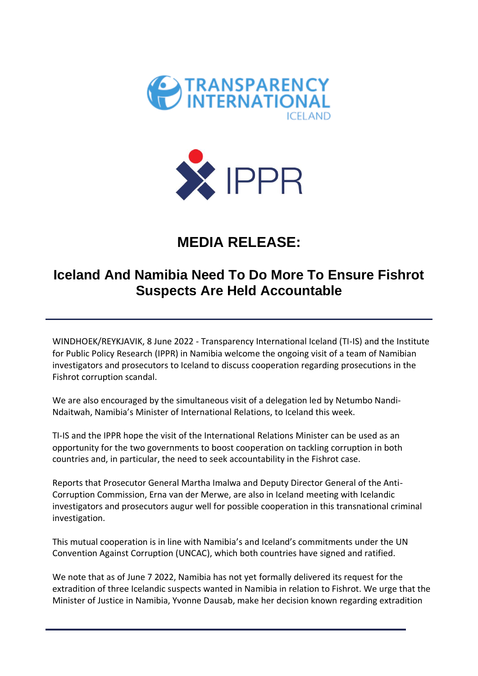



## **MEDIA RELEASE:**

## **Iceland And Namibia Need To Do More To Ensure Fishrot Suspects Are Held Accountable**

WINDHOEK/REYKJAVIK, 8 June 2022 - Transparency International Iceland (TI-IS) and the Institute for Public Policy Research (IPPR) in Namibia welcome the ongoing visit of a team of Namibian investigators and prosecutors to Iceland to discuss cooperation regarding prosecutions in the Fishrot corruption scandal.

We are also encouraged by the simultaneous visit of a delegation led by Netumbo Nandi-Ndaitwah, Namibia's Minister of International Relations, to Iceland this week.

TI-IS and the IPPR hope the visit of the International Relations Minister can be used as an opportunity for the two governments to boost cooperation on tackling corruption in both countries and, in particular, the need to seek accountability in the Fishrot case.

Reports that Prosecutor General Martha Imalwa and Deputy Director General of the Anti-Corruption Commission, Erna van der Merwe, are also in Iceland meeting with Icelandic investigators and prosecutors augur well for possible cooperation in this transnational criminal investigation.

This mutual cooperation is in line with Namibia's and Iceland's commitments under the UN Convention Against Corruption (UNCAC), which both countries have signed and ratified.

We note that as of June 7 2022, Namibia has not yet formally delivered its request for the extradition of three Icelandic suspects wanted in Namibia in relation to Fishrot. We urge that the Minister of Justice in Namibia, Yvonne Dausab, make her decision known regarding extradition